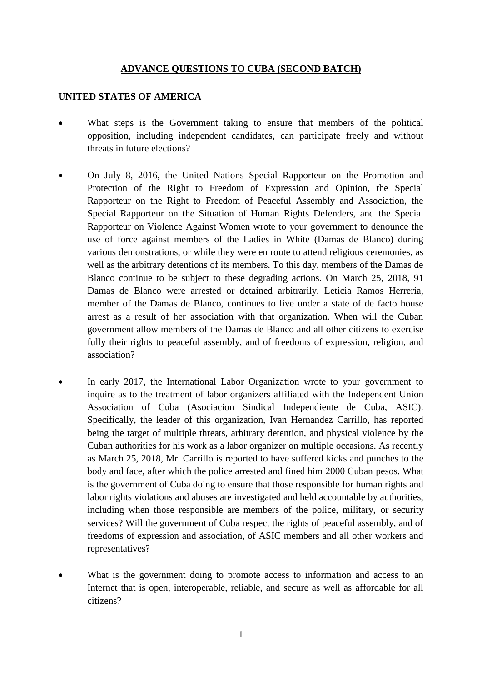#### **ADVANCE QUESTIONS TO CUBA (SECOND BATCH)**

#### **UNITED STATES OF AMERICA**

- What steps is the Government taking to ensure that members of the political opposition, including independent candidates, can participate freely and without threats in future elections?
- On July 8, 2016, the United Nations Special Rapporteur on the Promotion and Protection of the Right to Freedom of Expression and Opinion, the Special Rapporteur on the Right to Freedom of Peaceful Assembly and Association, the Special Rapporteur on the Situation of Human Rights Defenders, and the Special Rapporteur on Violence Against Women wrote to your government to denounce the use of force against members of the Ladies in White (Damas de Blanco) during various demonstrations, or while they were en route to attend religious ceremonies, as well as the arbitrary detentions of its members. To this day, members of the Damas de Blanco continue to be subject to these degrading actions. On March 25, 2018, 91 Damas de Blanco were arrested or detained arbitrarily. Leticia Ramos Herreria, member of the Damas de Blanco, continues to live under a state of de facto house arrest as a result of her association with that organization. When will the Cuban government allow members of the Damas de Blanco and all other citizens to exercise fully their rights to peaceful assembly, and of freedoms of expression, religion, and association?
- In early 2017, the International Labor Organization wrote to your government to inquire as to the treatment of labor organizers affiliated with the Independent Union Association of Cuba (Asociacion Sindical Independiente de Cuba, ASIC). Specifically, the leader of this organization, Ivan Hernandez Carrillo, has reported being the target of multiple threats, arbitrary detention, and physical violence by the Cuban authorities for his work as a labor organizer on multiple occasions. As recently as March 25, 2018, Mr. Carrillo is reported to have suffered kicks and punches to the body and face, after which the police arrested and fined him 2000 Cuban pesos. What is the government of Cuba doing to ensure that those responsible for human rights and labor rights violations and abuses are investigated and held accountable by authorities, including when those responsible are members of the police, military, or security services? Will the government of Cuba respect the rights of peaceful assembly, and of freedoms of expression and association, of ASIC members and all other workers and representatives?
- What is the government doing to promote access to information and access to an Internet that is open, interoperable, reliable, and secure as well as affordable for all citizens?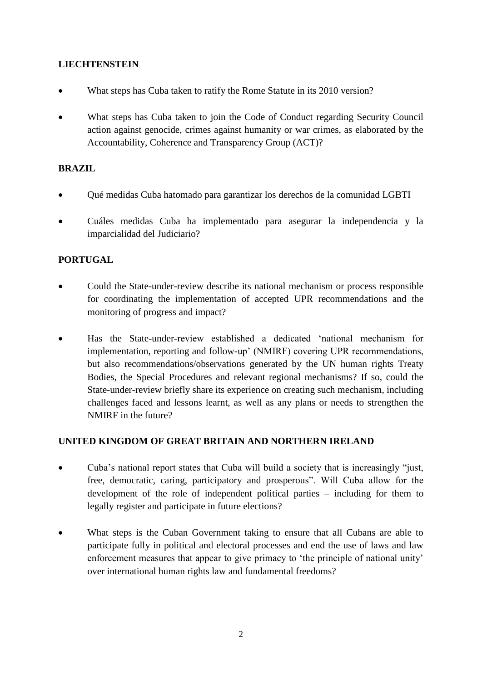## **LIECHTENSTEIN**

- What steps has Cuba taken to ratify the Rome Statute in its 2010 version?
- What steps has Cuba taken to join the Code of Conduct regarding Security Council action against genocide, crimes against humanity or war crimes, as elaborated by the Accountability, Coherence and Transparency Group (ACT)?

### **BRAZIL**

- Qué medidas Cuba hatomado para garantizar los derechos de la comunidad LGBTI
- Cuáles medidas Cuba ha implementado para asegurar la independencia y la imparcialidad del Judiciario?

### **PORTUGAL**

- Could the State-under-review describe its national mechanism or process responsible for coordinating the implementation of accepted UPR recommendations and the monitoring of progress and impact?
- Has the State-under-review established a dedicated 'national mechanism for implementation, reporting and follow-up' (NMIRF) covering UPR recommendations, but also recommendations/observations generated by the UN human rights Treaty Bodies, the Special Procedures and relevant regional mechanisms? If so, could the State-under-review briefly share its experience on creating such mechanism, including challenges faced and lessons learnt, as well as any plans or needs to strengthen the NMIRF in the future?

# **UNITED KINGDOM OF GREAT BRITAIN AND NORTHERN IRELAND**

- Cuba's national report states that Cuba will build a society that is increasingly "just, free, democratic, caring, participatory and prosperous". Will Cuba allow for the development of the role of independent political parties – including for them to legally register and participate in future elections?
- What steps is the Cuban Government taking to ensure that all Cubans are able to participate fully in political and electoral processes and end the use of laws and law enforcement measures that appear to give primacy to 'the principle of national unity' over international human rights law and fundamental freedoms?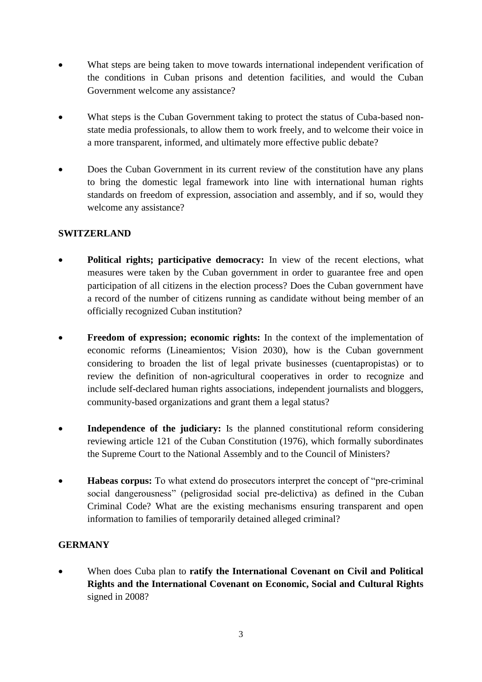- What steps are being taken to move towards international independent verification of the conditions in Cuban prisons and detention facilities, and would the Cuban Government welcome any assistance?
- What steps is the Cuban Government taking to protect the status of Cuba-based nonstate media professionals, to allow them to work freely, and to welcome their voice in a more transparent, informed, and ultimately more effective public debate?
- Does the Cuban Government in its current review of the constitution have any plans to bring the domestic legal framework into line with international human rights standards on freedom of expression, association and assembly, and if so, would they welcome any assistance?

### **SWITZERLAND**

- **Political rights; participative democracy:** In view of the recent elections, what measures were taken by the Cuban government in order to guarantee free and open participation of all citizens in the election process? Does the Cuban government have a record of the number of citizens running as candidate without being member of an officially recognized Cuban institution?
- **Freedom of expression; economic rights:** In the context of the implementation of economic reforms (Lineamientos; Vision 2030), how is the Cuban government considering to broaden the list of legal private businesses (cuentapropistas) or to review the definition of non-agricultural cooperatives in order to recognize and include self-declared human rights associations, independent journalists and bloggers, community-based organizations and grant them a legal status?
- **Independence of the judiciary:** Is the planned constitutional reform considering reviewing article 121 of the Cuban Constitution (1976), which formally subordinates the Supreme Court to the National Assembly and to the Council of Ministers?
- **Habeas corpus:** To what extend do prosecutors interpret the concept of "pre-criminal social dangerousness" (peligrosidad social pre-delictiva) as defined in the Cuban Criminal Code? What are the existing mechanisms ensuring transparent and open information to families of temporarily detained alleged criminal?

# **GERMANY**

• When does Cuba plan to **ratify the International Covenant on Civil and Political Rights and the International Covenant on Economic, Social and Cultural Rights** signed in 2008?